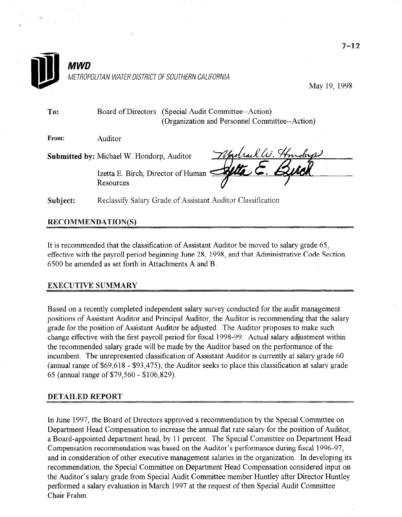

# It is recommended that the classification of Assistant Auditor be moved to salary grade 65, effective with the payroll period beginning June 28, 1998, and that Administrative Code Section 6500 be amended as set forth in Attachments A and B.

## **EXECUTIVE SUMMARY**

Based on a recently completed independent salary survey conducted for the audit management posed on a recently completed independent salary survey conducted for the audit management positions of Assistant Auditor and Principal Auditor, the Auditor is recommending that the salary grade for the position of Assistant Auditor be adjusted. The Auditor proposes to make such change effective with the first payroll period for fiscal 1998-99. Actual salary adjustment within the recommended salary grade will be made by the Auditor based on the performance of the incumbent. The unrepresented classification of Assistant Auditor is currently at salary grade 60 (annual range of  $$69,618 - $93,475$ ); the Auditor seeks to place this classification at salary grade 65 (annual range of  $$79,560 - $106,829$ ).

#### **DETAILED REPORT**

In June 199'7, the Board of Directors approved a recommendation by the Special Committee on In June 1997, the Board of Directors approved a recommendation by the Special Committee on Department Head Compensation to increase the annual flat rate salary for the position of Auditor. a Board-appointed department head, by 11 percent. The Special Committee on Department Head Compensation recommendation was based on the Auditor's performance during fiscal 1996-97. and in consideration of other executive management salaries in the organization. In developing its recommendation, the Special Committee on Department Head Compensation considered input on the Auditor's salary grade from Special Audit Committee member Huntley after Director Huntley performed a salary evaluation in March 1997 at the request of then Special Audit Committee Chair Frahm.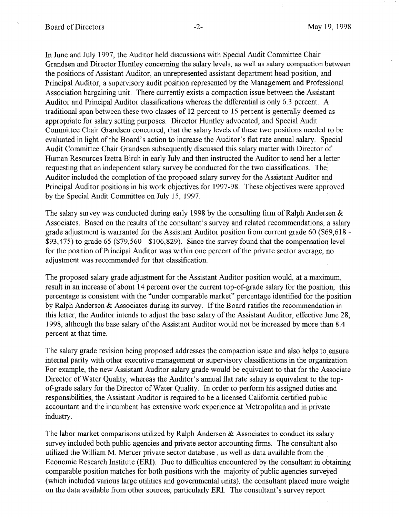In June and July 1997, the Auditor held discussions with Special Audit Committee Chair Grandsen and Director Huntley concerning the salary levels, as well as salary compaction between the positions of Assistant Auditor, an unrepresented assistant department head position, and Principal Auditor, a supervisory audit position represented by the Management and Professional Association bargaining unit. There currently exists a compaction issue between the Assistant Auditor and Principal Auditor classifications whereas the differential is only 6.3 percent. A traditional span between these two classes of 12 percent to 15 percent is generally deemed as appropriate for salary setting purposes. Director Huntley advocated, and Special Audit Committee Chair Grandsen concurred, that the salary levels of these two positions needed to be evaluated in light of the Board's action to increase the Auditor's flat rate annual salary. Special Audit Committee Chair Grandsen subsequently discussed this salary matter with Director of Human Resources Izetta Birch in early July and then instructed the Auditor to send her a letter requesting that an independent salary survey be conducted for the two classifications. The' Auditor included the completion of the proposed salary survey for the Assistant Auditor and Principal Auditor positions in his work objectives for 1997-98. These objectives were approved by the Special Audit Committee on July 15, 1997.

The salary survey was conducted during early 1998 by the consulting firm of Ralph Andersen  $\&$ Associates. Based on the results of the consultant's survey and related recommendations, a salary grade adjustment is warranted for the Assistant Auditor position from current grade 60 (\$69,618 - \$93,475) to grade 65 (\$79,560 - \$106,829). Since the survey found that the compensation level for the position of Principal Auditor was within one percent of the private sector average, no adjustment was recommended for that classification.

The proposed salary grade adjustment for the Assistant Auditor position would, at a maximum, result in an increase of about 14 percent over the current top-of-grade salary for the position; this percentage is consistent with the "under comparable market" percentage identified for the position by Ralph Andersen & Associates during its survey. If the Board ratifies the recommendation in this letter, the Auditor intends to adjust the base salary of the Assistant Auditor, effective June 28, 1998, although the base salary of the Assistant Auditor would not be increased by more than 8.4 percent at that time.

The salary grade revision being proposed addresses the compaction issue and also helps to ensure internal parity with other executive management or supervisory classifications in the organization. For example, the new Assistant Auditor salary grade would be equivalent to that for the Associate Director of Water Quality, whereas the Auditor's annual flat rate salary is equivalent to the topof-grade salary for the Director of Water Quality. In order to perform his assigned duties and responsibilities, the Assistant Auditor is required to be a licensed California certified public accountant and the incumbent has extensive work experience at Metropolitan and in private industry.

The labor market comparisons utilized by Ralph Andersen  $\&$  Associates to conduct its salary survey included both public agencies and private sector accounting firms. The consultant also utilized the William M. Mercer private sector database , as well as data available from the Economic Research Institute (ERI). Due to difficulties encountered by the consultant in obtaining comparable position matches for both positions with the majority of public agencies surveyed (which included various large utilities and governmental units), the consultant placed more weight on the data available from other sources, particularly ERI. The consultant's survey report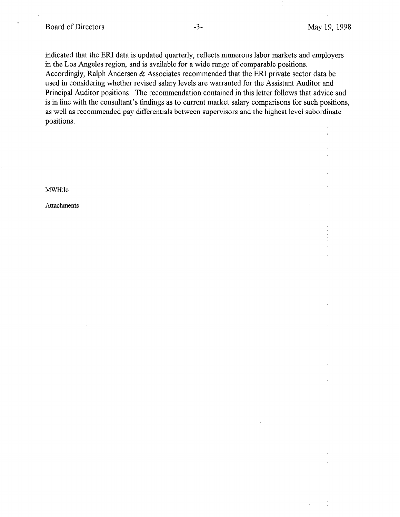indicated that the ERI data is updated quarterly, reflects numerous labor markets and employers in the Los Angeles region, and is available for a wide range of comparable positions. Accordingly, Ralph Andersen & Associates recommended that the ERI private sector data be used in considering whether revised salary levels are warranted for the Assistant Auditor and Principal Auditor positions. The recommendation contained in this letter follows that advice and is in line with the consultant's findings as to current market salary comparisons for such positions, as well as recommended pay differentials between supervisors and the highest level subordinate positions.

MWH:lo

Attachments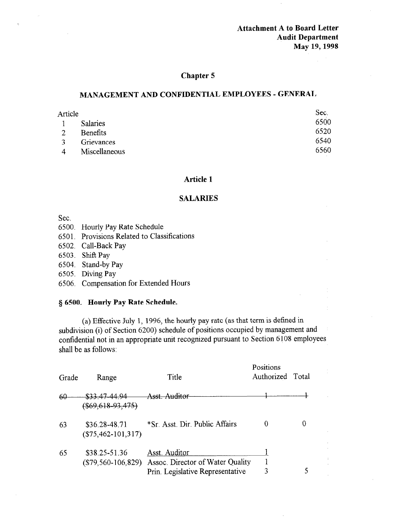Attachment A to Board Letter Audit Department May 19,199s

## Chapter 5

## MANAGEMENT AND CONFIDENTIAL EMPLOYEES - GENERAL

| Article       |                 | Sec. |
|---------------|-----------------|------|
|               | <b>Salaries</b> | 6500 |
| 2             | Benefits        | 6520 |
| $\mathcal{R}$ | Grievances      | 6540 |
| 4             | Miscellaneous   | 6560 |

## Article 1

#### SALARIES

Sec.

- 6500. Hourly Pay Rate Schedule
- 650 1. Provisions Related to Classifications
- 6502. Call-Back Pay
- 6503. Shift Pay
- 6504. Stand-by Pay
- 6505. Diving Pay
- 6506. Compensation for Extended Hours

## § 6500. Hourly Pay Rate Schedule.

(a) Effective July 1, 1996, the hourly pay rate (as that term is defined in (a) Effective July 1, 1990, the hourity pay rate (as that term is defined in  $\frac{1}{2}$  subdivision (1) or Section 6200) schedule of positions occupied by management and confidential not in an appropriate unit recognized pursuant to Section 6108 employees shall be as follows:

Positions

| Grade | Range                                 | Title                                                                                 | Positions<br>Authorized Total |  |
|-------|---------------------------------------|---------------------------------------------------------------------------------------|-------------------------------|--|
| 60    | \$33.47-44.94<br>$($69,618-93,475)$   | Asst Auditor                                                                          |                               |  |
| 63    | \$36.28-48.71<br>$(\$75,462-101,317)$ | *Sr. Asst. Dir. Public Affairs                                                        |                               |  |
| 65    | \$38.25-51.36<br>$(\$79,560-106,829)$ | Asst. Auditor<br>Assoc. Director of Water Quality<br>Prin. Legislative Representative | 3                             |  |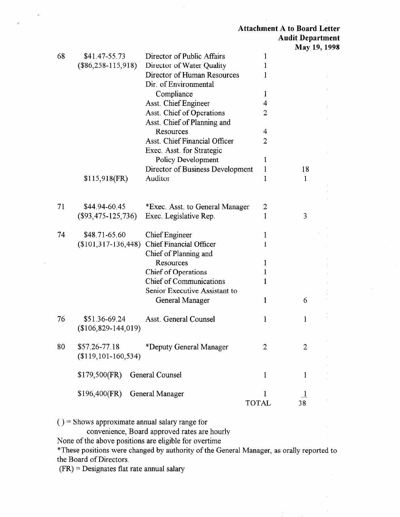$\bar{z}$ 

 $\bar{1}$ 

|    |                          |                                      |                | <b>IVIAY</b> 12, 12 |  |
|----|--------------------------|--------------------------------------|----------------|---------------------|--|
| 68 | \$41.47-55.73            | Director of Public Affairs           | 1              |                     |  |
|    | $(\$86,258-115,918)$     | Director of Water Quality            | 1              |                     |  |
|    |                          | Director of Human Resources          | 1              |                     |  |
|    |                          | Dir. of Environmental                |                |                     |  |
|    |                          | Compliance                           | $\mathbf{1}$   |                     |  |
|    |                          | Asst. Chief Engineer                 | 4              |                     |  |
|    |                          | Asst. Chief of Operations            | 2              |                     |  |
|    |                          | Asst. Chief of Planning and          |                |                     |  |
|    |                          | Resources                            | 4              |                     |  |
|    |                          | <b>Asst. Chief Financial Officer</b> | $\overline{2}$ |                     |  |
|    |                          | Exec Asst. for Strategic             |                |                     |  |
|    |                          | Policy Development                   | 1              |                     |  |
|    |                          | Director of Business Development     | 1              | 18                  |  |
|    | $$115,918$ (FR)          | Auditor                              | 1              | $\mathbf{1}$        |  |
|    |                          |                                      |                |                     |  |
|    |                          |                                      |                |                     |  |
| 71 | \$44.94-60.45            | *Exec. Asst. to General Manager      | 2              |                     |  |
|    | $(\$93,475-125,736)$     | Exec. Legislative Rep.               | 1              | 3                   |  |
|    |                          |                                      |                |                     |  |
| 74 | \$48.71-65.60            | <b>Chief Engineer</b>                | 1              |                     |  |
|    | $(\$101,317-136,448)$    | <b>Chief Financial Officer</b>       | 1              |                     |  |
|    |                          | Chief of Planning and                |                |                     |  |
|    |                          | Resources                            | 1              |                     |  |
|    |                          | <b>Chief of Operations</b>           | 1              |                     |  |
|    |                          | <b>Chief of Communications</b>       | 1              |                     |  |
|    |                          | Senior Executive Assistant to        |                |                     |  |
|    |                          | General Manager                      | 1              | 6                   |  |
|    |                          |                                      |                |                     |  |
| 76 | \$51.36-69.24            | Asst. General Counsel                | ł              | $\mathbf{1}$        |  |
|    | $($106,829-144,019)$     |                                      |                |                     |  |
|    |                          |                                      |                |                     |  |
| 80 | $$57.26 - 77.18$         | *Deputy General Manager              | $\overline{2}$ | $\overline{2}$      |  |
|    | $($119, 101 - 160, 534)$ |                                      |                |                     |  |
|    |                          |                                      |                |                     |  |
|    | \$179,500(FR)            | General Counsel                      | $\mathbf 1$    | $\mathbf 1$         |  |
|    |                          |                                      |                |                     |  |
|    | $$196,400$ (FR)          | General Manager                      |                | $\perp$             |  |
|    |                          |                                      | <b>TOTAL</b>   | 38                  |  |
|    |                          |                                      |                |                     |  |

 $()$  = Shows approximate annual salary range for

convenience, Board approved rates are hourly

None of the above positions are eligible for overtime

\*These positions were changed by authority of the General Manager, as orally reported to the Board of Directors,

(FR) = Designates flat rate annual salary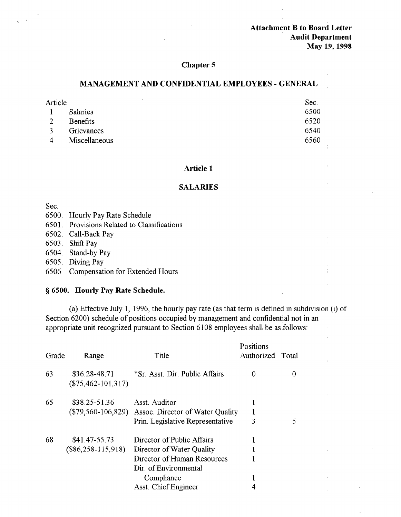Attachment B to Board Letter Audit Department May 19,199s

## Chapter 5

## MANAGEMENT AND CONFIDENTIAL EMPLOYEES - GENERAL

| Article |                 | Sec. |
|---------|-----------------|------|
|         | <b>Salaries</b> | 6500 |
| 2       | <b>Benefits</b> | 6520 |
| 3       | Grievances      | 6540 |
| 4       | Miscellaneous   | 6560 |

#### Article 1

#### SALARIES

Sec.

- 6500. Hourly Pay Rate Schedule
- 650 1. Provisions Related to Classifications
- 6502. Call-Back Pay
- 6503. Shift Pay
- 6504. Stand-by Pay
- 6505. Diving Pay
- 6506. Compensation for Extended Hours

## § 6500. Hourly Pay Rate Schedule.

(a) Effective July 1, 1996, the hourly pay rate (as that term is defined in subdivision (i) of Section 6200) schedule of positions occupied by management and confidential not in an appropriate unit recognized pursuant to Section 6108 employees shall be as follows:

| Grade | Range                                 | Title                                                                                                                                                 | Positions<br>Authorized | Total |
|-------|---------------------------------------|-------------------------------------------------------------------------------------------------------------------------------------------------------|-------------------------|-------|
| 63    | \$36.28-48.71<br>$(\$75,462-101,317)$ | *Sr. Asst. Dir. Public Affairs                                                                                                                        | 0                       | 0     |
| 65    | \$38.25-51.36<br>$(\$79,560-106,829)$ | Asst. Auditor<br>Assoc. Director of Water Quality<br>Prin. Legislative Representative                                                                 | ł<br>3                  | 5     |
| 68    | \$41.47-55.73<br>$(\$86,258-115,918)$ | Director of Public Affairs<br>Director of Water Quality<br>Director of Human Resources<br>Dir. of Environmental<br>Compliance<br>Asst. Chief Engineer |                         |       |